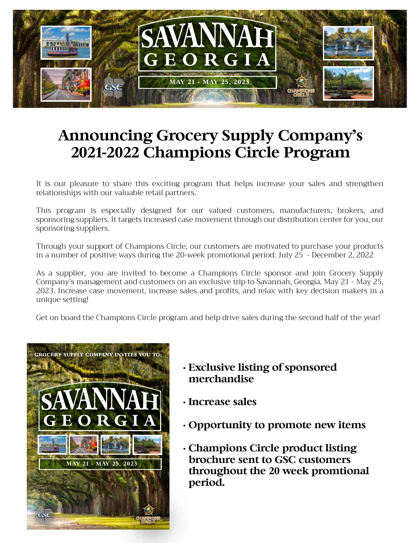

# **Announcing Grocery Supply Company's 2021-2022 Champions Circle Program**

It is our pleasure to share this exciting program that helps increase your sales and strengthen relationships with our valuable retail partners.

This program is especially designed for our valued customers, manufacturers, brokers, and sponsoring suppliers. It targets increased case movement through our distribution center for you, our sponsoring suppliers.

Through your support of Champions Circle, our customers are motivated to purchase your products in a number of positive ways during the 20-week promotional period: July 25 - December 2, 2022

As a supplier, you are invited to become a Champions Circle sponsor and join Grocery Supply Company's management and customers on an exclusive trip to Savannah, Georgia, May 21 - May 25, 2023. Increase case movement, increase sales and profits, and relax with key decision makers in a unique setting!

Get on board the Champions Circle program and help drive sales during the second half of the year!



- **Exclusive listing of sponsored merchandise**
- **Increase sales**
- **Opportunity to promote new items**
- **Champions Circle product listing brochure sent to GSC customers throughout the 20 week promtional period.**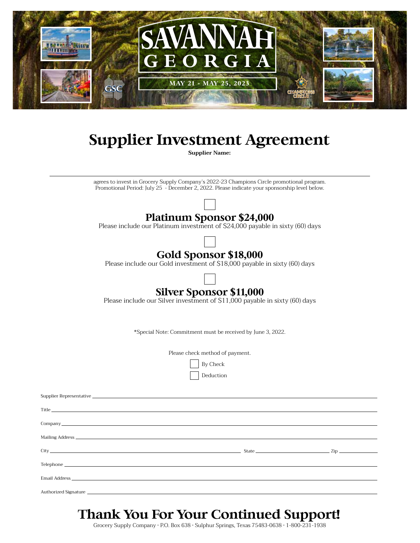

## **Supplier Investment Agreement**

**Supplier Name:**

agrees to invest in Grocery Supply Company's 2022-23 Champions Circle promotional program. Promotional Period: July 25 - December 2, 2022. Please indicate your sponsorship level below.



Please include our Platinum investment of \$24,000 payable in sixty (60) days

### **Gold Sponsor \$18,000**

Please include our Gold investment of \$18,000 payable in sixty (60) days



#### **Silver Sponsor \$11,000**

Please include our Silver investment of \$11,000 payable in sixty (60) days

\*Special Note: Commitment must be received by June 3, 2022.

Please check method of payment.

| By Check |  |
|----------|--|
|----------|--|

Deduction

| Company comments and the comments of the comments of the comments of the comments of the comments of the comments of the comments of the comments of the comments of the comments of the comments of the comments of the comme |  |
|--------------------------------------------------------------------------------------------------------------------------------------------------------------------------------------------------------------------------------|--|
|                                                                                                                                                                                                                                |  |
|                                                                                                                                                                                                                                |  |
|                                                                                                                                                                                                                                |  |
|                                                                                                                                                                                                                                |  |
|                                                                                                                                                                                                                                |  |

### **Thank You For Your Continued Support!**

Grocery Supply Company • P.O. Box 638 • Sulphur Springs, Texas 75483-0638 • 1-800-231-1938